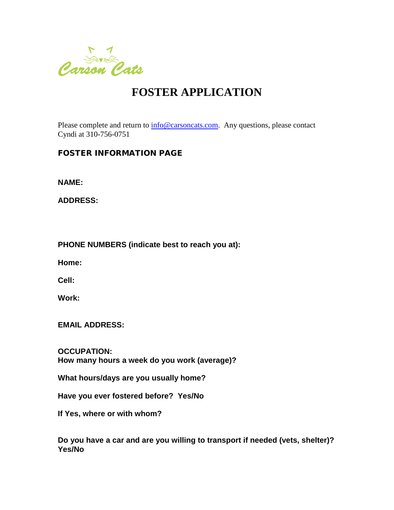

## **FOSTER APPLICATION**

Please complete and return to  $\frac{info@carsoncats.com}{info@carsoncats.com}$ . Any questions, please contact Cyndi at 310-756-0751

## FOSTER INFORMATION PAGE

**NAME:**

**ADDRESS:**

**PHONE NUMBERS (indicate best to reach you at):**

**Home:**

**Cell:**

**Work:** 

**EMAIL ADDRESS:**

**OCCUPATION: How many hours a week do you work (average)?**

**What hours/days are you usually home?**

**Have you ever fostered before? Yes/No**

**If Yes, where or with whom?** 

**Do you have a car and are you willing to transport if needed (vets, shelter)? Yes/No**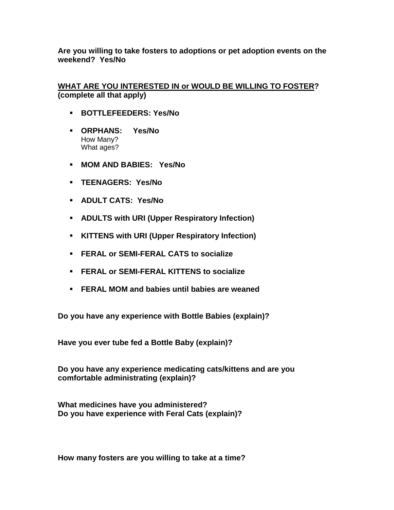**Are you willing to take fosters to adoptions or pet adoption events on the weekend? Yes/No**

## **WHAT ARE YOU INTERESTED IN or WOULD BE WILLING TO FOSTER? (complete all that apply)**

- **BOTTLEFEEDERS: Yes/No**
- **ORPHANS: Yes/No**  How Many? What ages?
- **MOM AND BABIES: Yes/No**
- **TEENAGERS: Yes/No**
- **ADULT CATS: Yes/No**
- **ADULTS with URI (Upper Respiratory Infection)**
- **KITTENS with URI (Upper Respiratory Infection)**
- **FERAL or SEMI-FERAL CATS to socialize**
- **FERAL or SEMI-FERAL KITTENS to socialize**
- **FERAL MOM and babies until babies are weaned**

**Do you have any experience with Bottle Babies (explain)?**

**Have you ever tube fed a Bottle Baby (explain)?**

**Do you have any experience medicating cats/kittens and are you comfortable administrating (explain)?** 

**What medicines have you administered? Do you have experience with Feral Cats (explain)?**

**How many fosters are you willing to take at a time?**